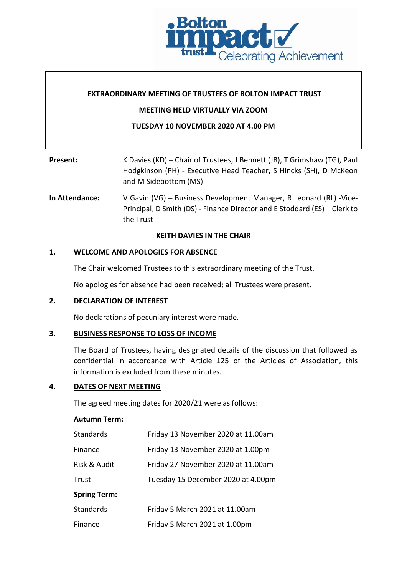

## **EXTRAORDINARY MEETING OF TRUSTEES OF BOLTON IMPACT TRUST**

## **MEETING HELD VIRTUALLY VIA ZOOM**

# **TUESDAY 10 NOVEMBER 2020 AT 4.00 PM**

| Present:       | K Davies (KD) – Chair of Trustees, J Bennett (JB), T Grimshaw (TG), Paul<br>Hodgkinson (PH) - Executive Head Teacher, S Hincks (SH), D McKeon<br>and M Sidebottom (MS) |
|----------------|------------------------------------------------------------------------------------------------------------------------------------------------------------------------|
| la Attandanas. | <b>Ducinose Douglopmont Monogor, DJ conord (DL) Vice</b><br>$U$ Cavin $N/C$                                                                                            |

**In Attendance:** V Gavin (VG) – Business Development Manager, R Leonard (RL) -Vice-Principal, D Smith (DS) - Finance Director and E Stoddard (ES) – Clerk to the Trust

### **KEITH DAVIES IN THE CHAIR**

## **1. WELCOME AND APOLOGIES FOR ABSENCE**

The Chair welcomed Trustees to this extraordinary meeting of the Trust.

No apologies for absence had been received; all Trustees were present.

# **2. DECLARATION OF INTEREST**

No declarations of pecuniary interest were made.

## **3. BUSINESS RESPONSE TO LOSS OF INCOME**

The Board of Trustees, having designated details of the discussion that followed as confidential in accordance with Article 125 of the Articles of Association, this information is excluded from these minutes.

## **4. DATES OF NEXT MEETING**

The agreed meeting dates for 2020/21 were as follows:

#### **Autumn Term:**

| Standards           | Friday 13 November 2020 at 11.00am |
|---------------------|------------------------------------|
| Finance             | Friday 13 November 2020 at 1.00pm  |
| Risk & Audit        | Friday 27 November 2020 at 11.00am |
| Trust               | Tuesday 15 December 2020 at 4.00pm |
| <b>Spring Term:</b> |                                    |
| <b>Standards</b>    | Friday 5 March 2021 at 11.00am     |
| Finance             | Friday 5 March 2021 at 1.00pm      |